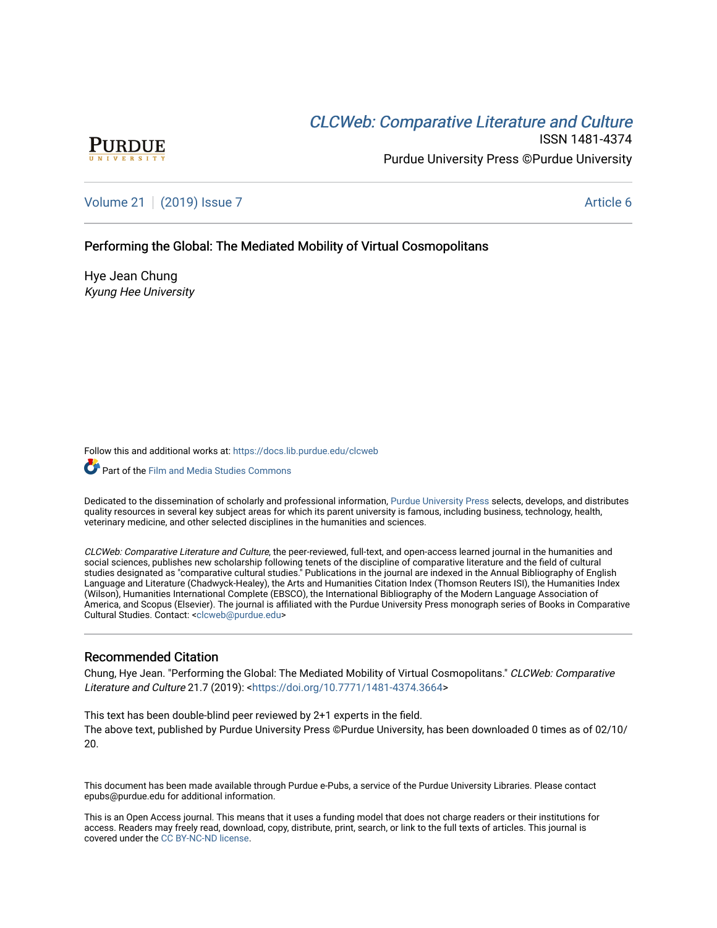# CLCW[eb: Comparative Liter](https://docs.lib.purdue.edu/clcweb)ature and Culture



ISSN 1481-4374 Purdue University Press ©Purdue University

[Volume 21](https://docs.lib.purdue.edu/clcweb/vol21) | [\(2019\) Issue 7](https://docs.lib.purdue.edu/clcweb/vol21/iss7) Article 6

# Performing the Global: The Mediated Mobility of Virtual Cosmopolitans

Hye Jean Chung Kyung Hee University

Follow this and additional works at: [https://docs.lib.purdue.edu/clcweb](https://docs.lib.purdue.edu/clcweb?utm_source=docs.lib.purdue.edu%2Fclcweb%2Fvol21%2Fiss7%2F6&utm_medium=PDF&utm_campaign=PDFCoverPages)

**C** Part of the Film and Media Studies Commons

Dedicated to the dissemination of scholarly and professional information, [Purdue University Press](http://www.thepress.purdue.edu/) selects, develops, and distributes quality resources in several key subject areas for which its parent university is famous, including business, technology, health, veterinary medicine, and other selected disciplines in the humanities and sciences.

CLCWeb: Comparative Literature and Culture, the peer-reviewed, full-text, and open-access learned journal in the humanities and social sciences, publishes new scholarship following tenets of the discipline of comparative literature and the field of cultural studies designated as "comparative cultural studies." Publications in the journal are indexed in the Annual Bibliography of English Language and Literature (Chadwyck-Healey), the Arts and Humanities Citation Index (Thomson Reuters ISI), the Humanities Index (Wilson), Humanities International Complete (EBSCO), the International Bibliography of the Modern Language Association of America, and Scopus (Elsevier). The journal is affiliated with the Purdue University Press monograph series of Books in Comparative Cultural Studies. Contact: [<clcweb@purdue.edu](mailto:clcweb@purdue.edu)>

# Recommended Citation

Chung, Hye Jean. "Performing the Global: The Mediated Mobility of Virtual Cosmopolitans." CLCWeb: Comparative Literature and Culture 21.7 (2019): <<https://doi.org/10.7771/1481-4374.3664>>

This text has been double-blind peer reviewed by 2+1 experts in the field. The above text, published by Purdue University Press ©Purdue University, has been downloaded 0 times as of 02/10/ 20.

This document has been made available through Purdue e-Pubs, a service of the Purdue University Libraries. Please contact epubs@purdue.edu for additional information.

This is an Open Access journal. This means that it uses a funding model that does not charge readers or their institutions for access. Readers may freely read, download, copy, distribute, print, search, or link to the full texts of articles. This journal is covered under the [CC BY-NC-ND license.](https://creativecommons.org/licenses/by-nc-nd/4.0/)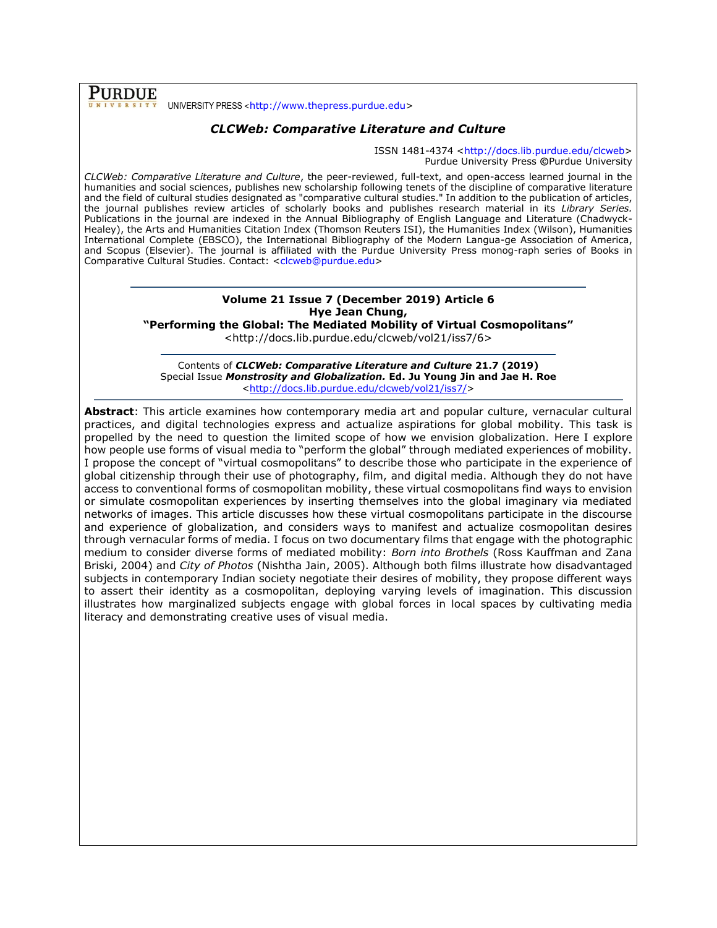**PURDUE** UNIVERSITY PRESS <[http://www.thepress.purdue.edu>](http://www.thepress.purdue.edu/)

# *CLCWeb: Comparative Literature and Culture*

ISSN 1481-4374 [<http://docs.lib.purdue.edu/clcweb>](http://docs.lib.purdue.edu/clcweb) Purdue University Press **©**Purdue University

*CLCWeb: Comparative Literature and Culture*, the peer-reviewed, full-text, and open-access learned journal in the humanities and social sciences, publishes new scholarship following tenets of the discipline of comparative literature and the field of cultural studies designated as "comparative cultural studies." In addition to the publication of articles, the journal publishes review articles of scholarly books and publishes research material in its *Library Series.*  Publications in the journal are indexed in the Annual Bibliography of English Language and Literature (Chadwyck-Healey), the Arts and Humanities Citation Index (Thomson Reuters ISI), the Humanities Index (Wilson), Humanities International Complete (EBSCO), the International Bibliography of the Modern Langua-ge Association of America, and Scopus (Elsevier). The journal is affiliated with the Purdue University Press monog-raph series of Books in Comparative Cultural Studies. Contact: [<clcweb@purdue.edu>](mailto:clcweb@purdue.edu)

# **Volume 21 Issue 7 (December 2019) Article 6 Hye Jean Chung,**

**"Performing the Global: The Mediated Mobility of Virtual Cosmopolitans"**

<http://docs.lib.purdue.edu/clcweb/vol21/iss7/6>

Contents of *CLCWeb: Comparative Literature and Culture* **21.7 (2019)** Special Issue *Monstrosity and Globalization.* **Ed. Ju Young Jin and Jae H. Roe** [<http://docs.lib.purdue.edu/clcweb/vol21/iss7/>](http://docs.lib.purdue.edu/clcweb/vol21/iss7/)

**Abstract**: This article examines how contemporary media art and popular culture, vernacular cultural practices, and digital technologies express and actualize aspirations for global mobility. This task is propelled by the need to question the limited scope of how we envision globalization. Here I explore how people use forms of visual media to "perform the global" through mediated experiences of mobility. I propose the concept of "virtual cosmopolitans" to describe those who participate in the experience of global citizenship through their use of photography, film, and digital media. Although they do not have access to conventional forms of cosmopolitan mobility, these virtual cosmopolitans find ways to envision or simulate cosmopolitan experiences by inserting themselves into the global imaginary via mediated networks of images. This article discusses how these virtual cosmopolitans participate in the discourse and experience of globalization, and considers ways to manifest and actualize cosmopolitan desires through vernacular forms of media. I focus on two documentary films that engage with the photographic medium to consider diverse forms of mediated mobility: *Born into Brothels* (Ross Kauffman and Zana Briski, 2004) and *City of Photos* (Nishtha Jain, 2005). Although both films illustrate how disadvantaged subjects in contemporary Indian society negotiate their desires of mobility, they propose different ways to assert their identity as a cosmopolitan, deploying varying levels of imagination. This discussion illustrates how marginalized subjects engage with global forces in local spaces by cultivating media literacy and demonstrating creative uses of visual media.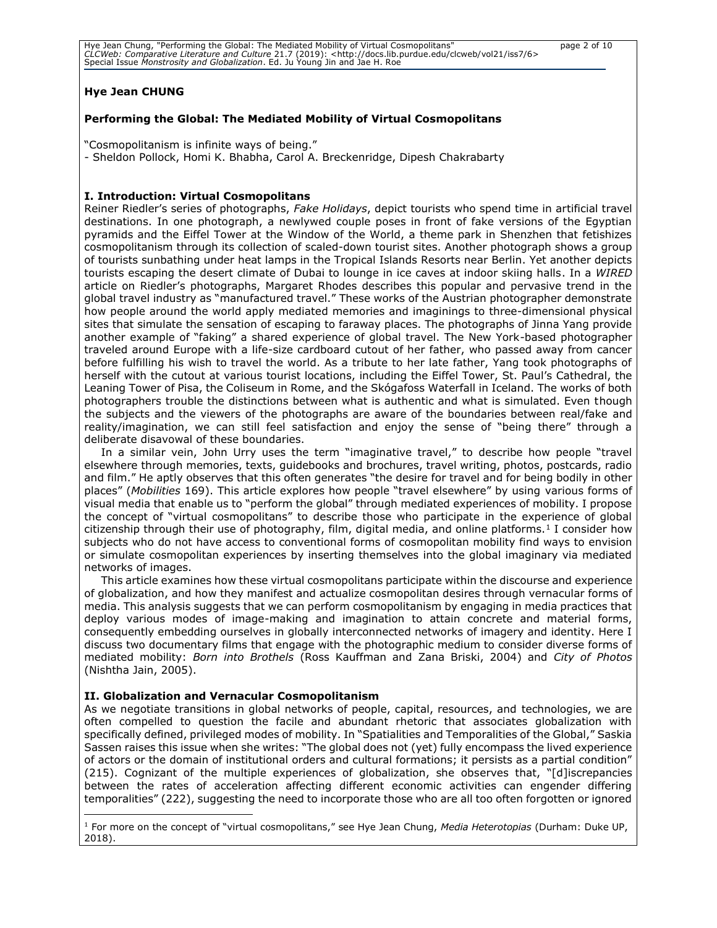| Hye Jean Chung, "Performing the Global: The Mediated Mobility of Virtual Cosmopolitans"                                        |  |
|--------------------------------------------------------------------------------------------------------------------------------|--|
| CLCWeb: Comparative Literature and Culture 21.7 (2019): <http: 6="" clcweb="" docs.lib.purdue.edu="" iss7="" vol21=""></http:> |  |
| Special Issue Monstrosity and Globalization. Ed. Ju Young Jin and Jae H. Roe                                                   |  |

#### page 2 of 10

## **Hye Jean CHUNG**

## **Performing the Global: The Mediated Mobility of Virtual Cosmopolitans**

"Cosmopolitanism is infinite ways of being."

- Sheldon Pollock, Homi K. Bhabha, Carol A. Breckenridge, Dipesh Chakrabarty

## **I. Introduction: Virtual Cosmopolitans**

Reiner Riedler's series of photographs, *Fake Holidays*, depict tourists who spend time in artificial travel destinations. In one photograph, a newlywed couple poses in front of fake versions of the Egyptian pyramids and the Eiffel Tower at the Window of the World, a theme park in Shenzhen that fetishizes cosmopolitanism through its collection of scaled-down tourist sites. Another photograph shows a group of tourists sunbathing under heat lamps in the Tropical Islands Resorts near Berlin. Yet another depicts tourists escaping the desert climate of Dubai to lounge in ice caves at indoor skiing halls. In a *WIRED* article on Riedler's photographs, Margaret Rhodes describes this popular and pervasive trend in the global travel industry as "manufactured travel." These works of the Austrian photographer demonstrate how people around the world apply mediated memories and imaginings to three-dimensional physical sites that simulate the sensation of escaping to faraway places. The photographs of Jinna Yang provide another example of "faking" a shared experience of global travel. The New York-based photographer traveled around Europe with a life-size cardboard cutout of her father, who passed away from cancer before fulfilling his wish to travel the world. As a tribute to her late father, Yang took photographs of herself with the cutout at various tourist locations, including the Eiffel Tower, St. Paul's Cathedral, the Leaning Tower of Pisa, the Coliseum in Rome, and the Skógafoss Waterfall in Iceland. The works of both photographers trouble the distinctions between what is authentic and what is simulated. Even though the subjects and the viewers of the photographs are aware of the boundaries between real/fake and reality/imagination, we can still feel satisfaction and enjoy the sense of "being there" through a deliberate disavowal of these boundaries.

In a similar vein, John Urry uses the term "imaginative travel," to describe how people "travel elsewhere through memories, texts, guidebooks and brochures, travel writing, photos, postcards, radio and film." He aptly observes that this often generates "the desire for travel and for being bodily in other places" (*Mobilities* 169). This article explores how people "travel elsewhere" by using various forms of visual media that enable us to "perform the global" through mediated experiences of mobility. I propose the concept of "virtual cosmopolitans" to describe those who participate in the experience of global citizenship through their use of photography, film, digital media, and online platforms.<sup>1</sup> I consider how subjects who do not have access to conventional forms of cosmopolitan mobility find ways to envision or simulate cosmopolitan experiences by inserting themselves into the global imaginary via mediated networks of images.

This article examines how these virtual cosmopolitans participate within the discourse and experience of globalization, and how they manifest and actualize cosmopolitan desires through vernacular forms of media. This analysis suggests that we can perform cosmopolitanism by engaging in media practices that deploy various modes of image-making and imagination to attain concrete and material forms, consequently embedding ourselves in globally interconnected networks of imagery and identity. Here I discuss two documentary films that engage with the photographic medium to consider diverse forms of mediated mobility: *Born into Brothels* (Ross Kauffman and Zana Briski, 2004) and *City of Photos* (Nishtha Jain, 2005).

## **II. Globalization and Vernacular Cosmopolitanism**

As we negotiate transitions in global networks of people, capital, resources, and technologies, we are often compelled to question the facile and abundant rhetoric that associates globalization with specifically defined, privileged modes of mobility. In "Spatialities and Temporalities of the Global," Saskia Sassen raises this issue when she writes: "The global does not (yet) fully encompass the lived experience of actors or the domain of institutional orders and cultural formations; it persists as a partial condition" (215). Cognizant of the multiple experiences of globalization, she observes that, "[d]iscrepancies between the rates of acceleration affecting different economic activities can engender differing temporalities" (222), suggesting the need to incorporate those who are all too often forgotten or ignored

<sup>1</sup> For more on the concept of "virtual cosmopolitans," see Hye Jean Chung, *Media Heterotopias* (Durham: Duke UP, 2018).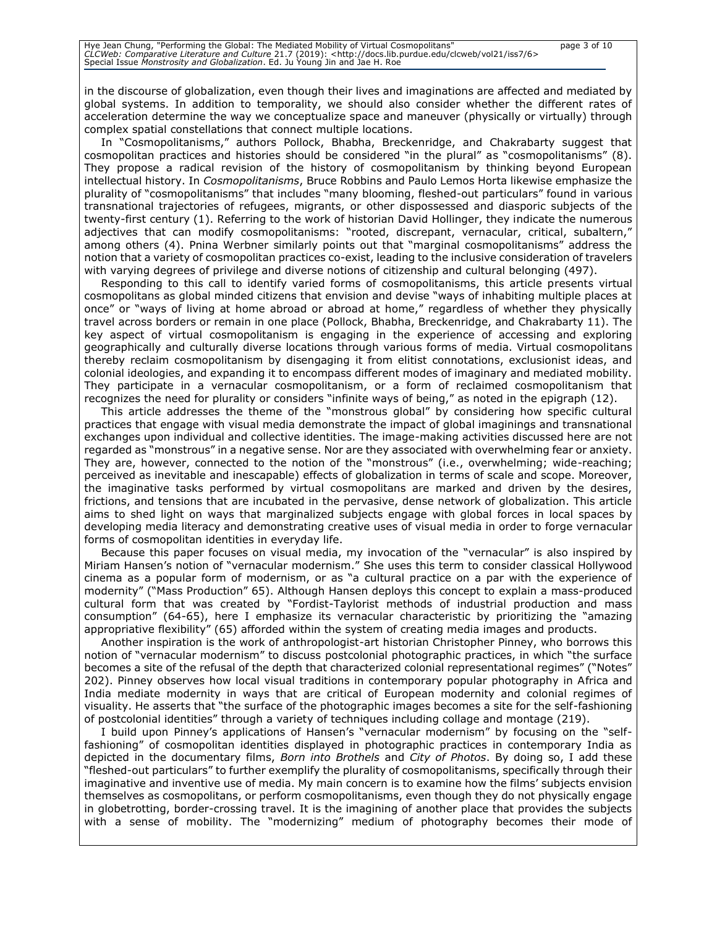in the discourse of globalization, even though their lives and imaginations are affected and mediated by global systems. In addition to temporality, we should also consider whether the different rates of acceleration determine the way we conceptualize space and maneuver (physically or virtually) through complex spatial constellations that connect multiple locations.

In "Cosmopolitanisms," authors Pollock, Bhabha, Breckenridge, and Chakrabarty suggest that cosmopolitan practices and histories should be considered "in the plural" as "cosmopolitanisms" (8). They propose a radical revision of the history of cosmopolitanism by thinking beyond European intellectual history. In *Cosmopolitanisms*, Bruce Robbins and Paulo Lemos Horta likewise emphasize the plurality of "cosmopolitanisms" that includes "many blooming, fleshed-out particulars" found in various transnational trajectories of refugees, migrants, or other dispossessed and diasporic subjects of the twenty-first century (1). Referring to the work of historian David Hollinger, they indicate the numerous adjectives that can modify cosmopolitanisms: "rooted, discrepant, vernacular, critical, subaltern," among others (4). Pnina Werbner similarly points out that "marginal cosmopolitanisms" address the notion that a variety of cosmopolitan practices co-exist, leading to the inclusive consideration of travelers with varying degrees of privilege and diverse notions of citizenship and cultural belonging (497).

Responding to this call to identify varied forms of cosmopolitanisms, this article presents virtual cosmopolitans as global minded citizens that envision and devise "ways of inhabiting multiple places at once" or "ways of living at home abroad or abroad at home," regardless of whether they physically travel across borders or remain in one place (Pollock, Bhabha, Breckenridge, and Chakrabarty 11). The key aspect of virtual cosmopolitanism is engaging in the experience of accessing and exploring geographically and culturally diverse locations through various forms of media. Virtual cosmopolitans thereby reclaim cosmopolitanism by disengaging it from elitist connotations, exclusionist ideas, and colonial ideologies, and expanding it to encompass different modes of imaginary and mediated mobility. They participate in a vernacular cosmopolitanism, or a form of reclaimed cosmopolitanism that recognizes the need for plurality or considers "infinite ways of being," as noted in the epigraph (12).

This article addresses the theme of the "monstrous global" by considering how specific cultural practices that engage with visual media demonstrate the impact of global imaginings and transnational exchanges upon individual and collective identities. The image-making activities discussed here are not regarded as "monstrous" in a negative sense. Nor are they associated with overwhelming fear or anxiety. They are, however, connected to the notion of the "monstrous" (i.e., overwhelming; wide-reaching; perceived as inevitable and inescapable) effects of globalization in terms of scale and scope. Moreover, the imaginative tasks performed by virtual cosmopolitans are marked and driven by the desires, frictions, and tensions that are incubated in the pervasive, dense network of globalization. This article aims to shed light on ways that marginalized subjects engage with global forces in local spaces by developing media literacy and demonstrating creative uses of visual media in order to forge vernacular forms of cosmopolitan identities in everyday life.

Because this paper focuses on visual media, my invocation of the "vernacular" is also inspired by Miriam Hansen's notion of "vernacular modernism." She uses this term to consider classical Hollywood cinema as a popular form of modernism, or as "a cultural practice on a par with the experience of modernity" ("Mass Production" 65). Although Hansen deploys this concept to explain a mass-produced cultural form that was created by "Fordist-Taylorist methods of industrial production and mass consumption" (64-65), here I emphasize its vernacular characteristic by prioritizing the "amazing appropriative flexibility" (65) afforded within the system of creating media images and products.

Another inspiration is the work of anthropologist-art historian Christopher Pinney, who borrows this notion of "vernacular modernism" to discuss postcolonial photographic practices, in which "the surface becomes a site of the refusal of the depth that characterized colonial representational regimes" ("Notes" 202). Pinney observes how local visual traditions in contemporary popular photography in Africa and India mediate modernity in ways that are critical of European modernity and colonial regimes of visuality. He asserts that "the surface of the photographic images becomes a site for the self-fashioning of postcolonial identities" through a variety of techniques including collage and montage (219).

I build upon Pinney's applications of Hansen's "vernacular modernism" by focusing on the "selffashioning" of cosmopolitan identities displayed in photographic practices in contemporary India as depicted in the documentary films, *Born into Brothels* and *City of Photos*. By doing so, I add these "fleshed-out particulars" to further exemplify the plurality of cosmopolitanisms, specifically through their imaginative and inventive use of media. My main concern is to examine how the films' subjects envision themselves as cosmopolitans, or perform cosmopolitanisms, even though they do not physically engage in globetrotting, border-crossing travel. It is the imagining of another place that provides the subjects with a sense of mobility. The "modernizing" medium of photography becomes their mode of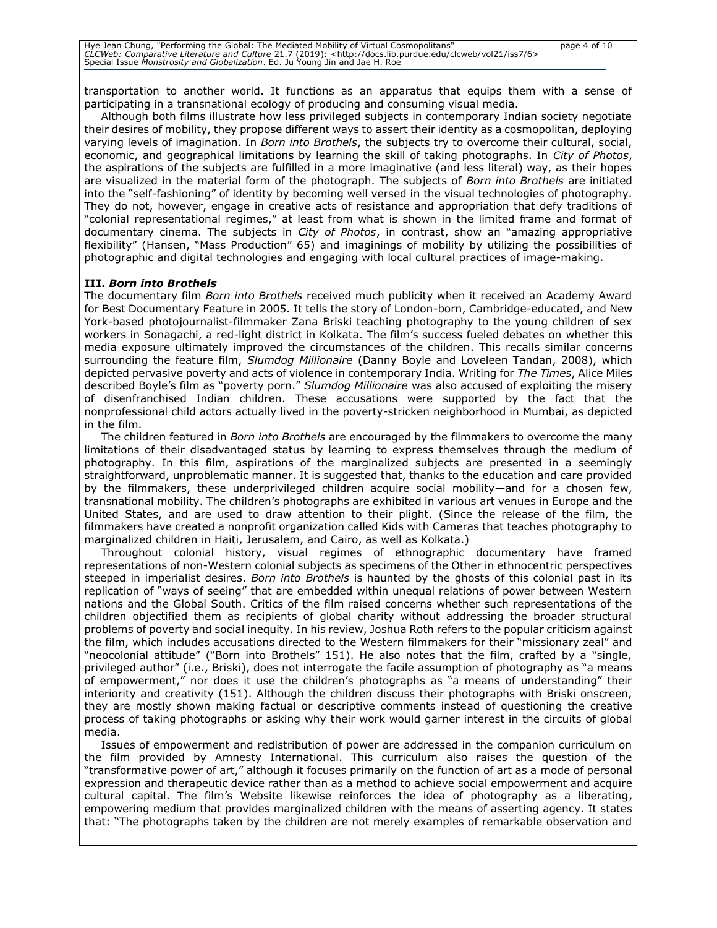transportation to another world. It functions as an apparatus that equips them with a sense of participating in a transnational ecology of producing and consuming visual media.

Although both films illustrate how less privileged subjects in contemporary Indian society negotiate their desires of mobility, they propose different ways to assert their identity as a cosmopolitan, deploying varying levels of imagination. In *Born into Brothels*, the subjects try to overcome their cultural, social, economic, and geographical limitations by learning the skill of taking photographs. In *City of Photos*, the aspirations of the subjects are fulfilled in a more imaginative (and less literal) way, as their hopes are visualized in the material form of the photograph. The subjects of *Born into Brothels* are initiated into the "self-fashioning" of identity by becoming well versed in the visual technologies of photography. They do not, however, engage in creative acts of resistance and appropriation that defy traditions of "colonial representational regimes," at least from what is shown in the limited frame and format of documentary cinema. The subjects in *City of Photos*, in contrast, show an "amazing appropriative flexibility" (Hansen, "Mass Production" 65) and imaginings of mobility by utilizing the possibilities of photographic and digital technologies and engaging with local cultural practices of image-making.

### **III.** *Born into Brothels*

The documentary film *Born into Brothels* received much publicity when it received an Academy Award for Best Documentary Feature in 2005. It tells the story of London-born, Cambridge-educated, and New York-based photojournalist-filmmaker Zana Briski teaching photography to the young children of sex workers in Sonagachi, a red-light district in Kolkata. The film's success fueled debates on whether this media exposure ultimately improved the circumstances of the children. This recalls similar concerns surrounding the feature film, *Slumdog Millionaire* (Danny Boyle and Loveleen Tandan, 2008), which depicted pervasive poverty and acts of violence in contemporary India. Writing for *The Times*, Alice Miles described Boyle's film as "poverty porn." *Slumdog Millionaire* was also accused of exploiting the misery of disenfranchised Indian children. These accusations were supported by the fact that the nonprofessional child actors actually lived in the poverty-stricken neighborhood in Mumbai, as depicted in the film.

The children featured in *Born into Brothels* are encouraged by the filmmakers to overcome the many limitations of their disadvantaged status by learning to express themselves through the medium of photography. In this film, aspirations of the marginalized subjects are presented in a seemingly straightforward, unproblematic manner. It is suggested that, thanks to the education and care provided by the filmmakers, these underprivileged children acquire social mobility—and for a chosen few, transnational mobility. The children's photographs are exhibited in various art venues in Europe and the United States, and are used to draw attention to their plight. (Since the release of the film, the filmmakers have created a nonprofit organization called Kids with Cameras that teaches photography to marginalized children in Haiti, Jerusalem, and Cairo, as well as Kolkata.)

Throughout colonial history, visual regimes of ethnographic documentary have framed representations of non-Western colonial subjects as specimens of the Other in ethnocentric perspectives steeped in imperialist desires. *Born into Brothels* is haunted by the ghosts of this colonial past in its replication of "ways of seeing" that are embedded within unequal relations of power between Western nations and the Global South. Critics of the film raised concerns whether such representations of the children objectified them as recipients of global charity without addressing the broader structural problems of poverty and social inequity. In his review, Joshua Roth refers to the popular criticism against the film, which includes accusations directed to the Western filmmakers for their "missionary zeal" and "neocolonial attitude" ("Born into Brothels" 151). He also notes that the film, crafted by a "single, privileged author" (i.e., Briski), does not interrogate the facile assumption of photography as "a means of empowerment," nor does it use the children's photographs as "a means of understanding" their interiority and creativity (151). Although the children discuss their photographs with Briski onscreen, they are mostly shown making factual or descriptive comments instead of questioning the creative process of taking photographs or asking why their work would garner interest in the circuits of global media.

Issues of empowerment and redistribution of power are addressed in the companion curriculum on the film provided by Amnesty International. This curriculum also raises the question of the "transformative power of art," although it focuses primarily on the function of art as a mode of personal expression and therapeutic device rather than as a method to achieve social empowerment and acquire cultural capital. The film's Website likewise reinforces the idea of photography as a liberating, empowering medium that provides marginalized children with the means of asserting agency. It states that: "The photographs taken by the children are not merely examples of remarkable observation and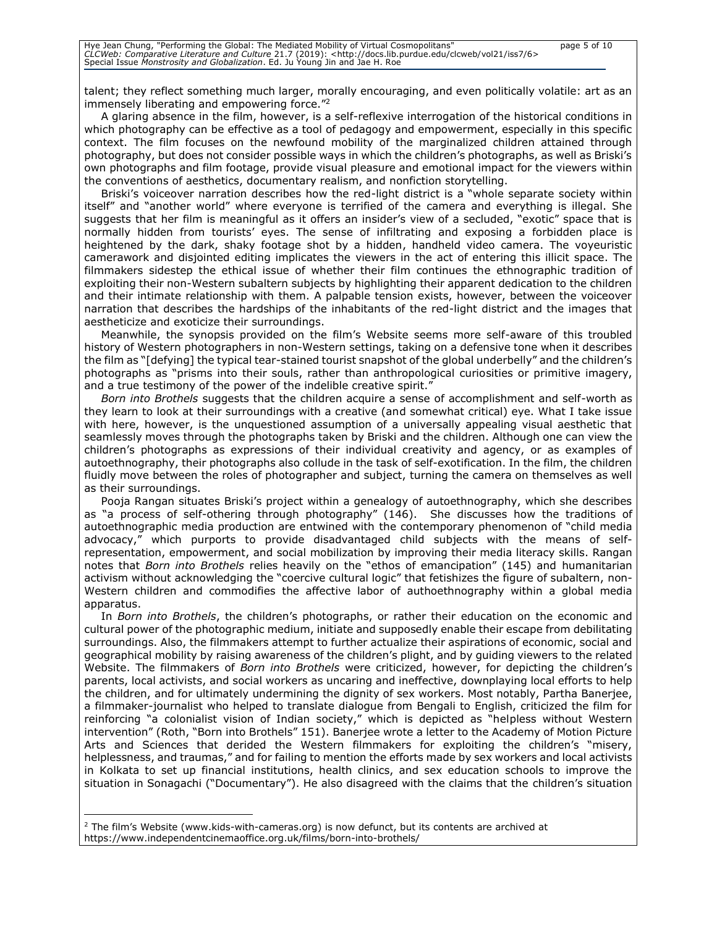talent; they reflect something much larger, morally encouraging, and even politically volatile: art as an immensely liberating and empowering force."<sup>2</sup>

A glaring absence in the film, however, is a self-reflexive interrogation of the historical conditions in which photography can be effective as a tool of pedagogy and empowerment, especially in this specific context. The film focuses on the newfound mobility of the marginalized children attained through photography, but does not consider possible ways in which the children's photographs, as well as Briski's own photographs and film footage, provide visual pleasure and emotional impact for the viewers within the conventions of aesthetics, documentary realism, and nonfiction storytelling.

Briski's voiceover narration describes how the red-light district is a "whole separate society within itself" and "another world" where everyone is terrified of the camera and everything is illegal. She suggests that her film is meaningful as it offers an insider's view of a secluded, "exotic" space that is normally hidden from tourists' eyes. The sense of infiltrating and exposing a forbidden place is heightened by the dark, shaky footage shot by a hidden, handheld video camera. The voyeuristic camerawork and disjointed editing implicates the viewers in the act of entering this illicit space. The filmmakers sidestep the ethical issue of whether their film continues the ethnographic tradition of exploiting their non-Western subaltern subjects by highlighting their apparent dedication to the children and their intimate relationship with them. A palpable tension exists, however, between the voiceover narration that describes the hardships of the inhabitants of the red-light district and the images that aestheticize and exoticize their surroundings.

Meanwhile, the synopsis provided on the film's Website seems more self-aware of this troubled history of Western photographers in non-Western settings, taking on a defensive tone when it describes the film as "[defying] the typical tear-stained tourist snapshot of the global underbelly" and the children's photographs as "prisms into their souls, rather than anthropological curiosities or primitive imagery, and a true testimony of the power of the indelible creative spirit."

*Born into Brothels* suggests that the children acquire a sense of accomplishment and self-worth as they learn to look at their surroundings with a creative (and somewhat critical) eye. What I take issue with here, however, is the unquestioned assumption of a universally appealing visual aesthetic that seamlessly moves through the photographs taken by Briski and the children. Although one can view the children's photographs as expressions of their individual creativity and agency, or as examples of autoethnography, their photographs also collude in the task of self-exotification. In the film, the children fluidly move between the roles of photographer and subject, turning the camera on themselves as well as their surroundings.

Pooja Rangan situates Briski's project within a genealogy of autoethnography, which she describes as "a process of self-othering through photography" (146). She discusses how the traditions of autoethnographic media production are entwined with the contemporary phenomenon of "child media advocacy," which purports to provide disadvantaged child subjects with the means of selfrepresentation, empowerment, and social mobilization by improving their media literacy skills. Rangan notes that *Born into Brothels* relies heavily on the "ethos of emancipation" (145) and humanitarian activism without acknowledging the "coercive cultural logic" that fetishizes the figure of subaltern, non-Western children and commodifies the affective labor of authoethnography within a global media apparatus.

In *Born into Brothels*, the children's photographs, or rather their education on the economic and cultural power of the photographic medium, initiate and supposedly enable their escape from debilitating surroundings. Also, the filmmakers attempt to further actualize their aspirations of economic, social and geographical mobility by raising awareness of the children's plight, and by guiding viewers to the related Website. The filmmakers of *Born into Brothels* were criticized, however, for depicting the children's parents, local activists, and social workers as uncaring and ineffective, downplaying local efforts to help the children, and for ultimately undermining the dignity of sex workers. Most notably, Partha Banerjee, a filmmaker-journalist who helped to translate dialogue from Bengali to English, criticized the film for reinforcing "a colonialist vision of Indian society," which is depicted as "helpless without Western intervention" (Roth, "Born into Brothels" 151). Banerjee wrote a letter to the Academy of Motion Picture Arts and Sciences that derided the Western filmmakers for exploiting the children's "misery, helplessness, and traumas," and for failing to mention the efforts made by sex workers and local activists in Kolkata to set up financial institutions, health clinics, and sex education schools to improve the situation in Sonagachi ("Documentary"). He also disagreed with the claims that the children's situation

<sup>&</sup>lt;sup>2</sup> The film's Website (www.kids-with-cameras.org) is now defunct, but its contents are archived at https://www.independentcinemaoffice.org.uk/films/born-into-brothels/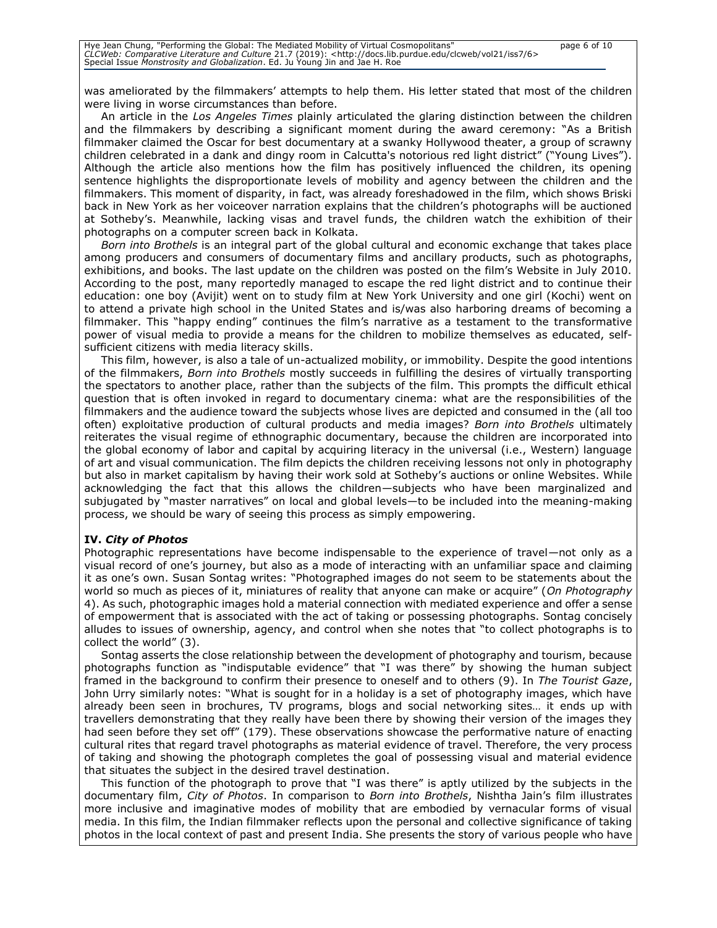was ameliorated by the filmmakers' attempts to help them. His letter stated that most of the children were living in worse circumstances than before.

An article in the *Los Angeles Times* plainly articulated the glaring distinction between the children and the filmmakers by describing a significant moment during the award ceremony: "As a British filmmaker claimed the Oscar for best documentary at a swanky Hollywood theater, a group of scrawny children celebrated in a dank and dingy room in Calcutta's notorious red light district" ("Young Lives"). Although the article also mentions how the film has positively influenced the children, its opening sentence highlights the disproportionate levels of mobility and agency between the children and the filmmakers. This moment of disparity, in fact, was already foreshadowed in the film, which shows Briski back in New York as her voiceover narration explains that the children's photographs will be auctioned at Sotheby's. Meanwhile, lacking visas and travel funds, the children watch the exhibition of their photographs on a computer screen back in Kolkata.

*Born into Brothels* is an integral part of the global cultural and economic exchange that takes place among producers and consumers of documentary films and ancillary products, such as photographs, exhibitions, and books. The last update on the children was posted on the film's Website in July 2010. According to the post, many reportedly managed to escape the red light district and to continue their education: one boy (Avijit) went on to study film at New York University and one girl (Kochi) went on to attend a private high school in the United States and is/was also harboring dreams of becoming a filmmaker. This "happy ending" continues the film's narrative as a testament to the transformative power of visual media to provide a means for the children to mobilize themselves as educated, selfsufficient citizens with media literacy skills.

This film, however, is also a tale of un-actualized mobility, or immobility. Despite the good intentions of the filmmakers, *Born into Brothels* mostly succeeds in fulfilling the desires of virtually transporting the spectators to another place, rather than the subjects of the film. This prompts the difficult ethical question that is often invoked in regard to documentary cinema: what are the responsibilities of the filmmakers and the audience toward the subjects whose lives are depicted and consumed in the (all too often) exploitative production of cultural products and media images? *Born into Brothels* ultimately reiterates the visual regime of ethnographic documentary, because the children are incorporated into the global economy of labor and capital by acquiring literacy in the universal (i.e., Western) language of art and visual communication. The film depicts the children receiving lessons not only in photography but also in market capitalism by having their work sold at Sotheby's auctions or online Websites. While acknowledging the fact that this allows the children—subjects who have been marginalized and subjugated by "master narratives" on local and global levels—to be included into the meaning-making process, we should be wary of seeing this process as simply empowering.

#### **IV.** *City of Photos*

Photographic representations have become indispensable to the experience of travel—not only as a visual record of one's journey, but also as a mode of interacting with an unfamiliar space and claiming it as one's own. Susan Sontag writes: "Photographed images do not seem to be statements about the world so much as pieces of it, miniatures of reality that anyone can make or acquire" (*On Photography* 4). As such, photographic images hold a material connection with mediated experience and offer a sense of empowerment that is associated with the act of taking or possessing photographs. Sontag concisely alludes to issues of ownership, agency, and control when she notes that "to collect photographs is to collect the world" (3).

Sontag asserts the close relationship between the development of photography and tourism, because photographs function as "indisputable evidence" that "I was there" by showing the human subject framed in the background to confirm their presence to oneself and to others (9). In *The Tourist Gaze*, John Urry similarly notes: "What is sought for in a holiday is a set of photography images, which have already been seen in brochures, TV programs, blogs and social networking sites… it ends up with travellers demonstrating that they really have been there by showing their version of the images they had seen before they set off" (179). These observations showcase the performative nature of enacting cultural rites that regard travel photographs as material evidence of travel. Therefore, the very process of taking and showing the photograph completes the goal of possessing visual and material evidence that situates the subject in the desired travel destination.

This function of the photograph to prove that "I was there" is aptly utilized by the subjects in the documentary film, *City of Photos*. In comparison to *Born into Brothels*, Nishtha Jain's film illustrates more inclusive and imaginative modes of mobility that are embodied by vernacular forms of visual media. In this film, the Indian filmmaker reflects upon the personal and collective significance of taking photos in the local context of past and present India. She presents the story of various people who have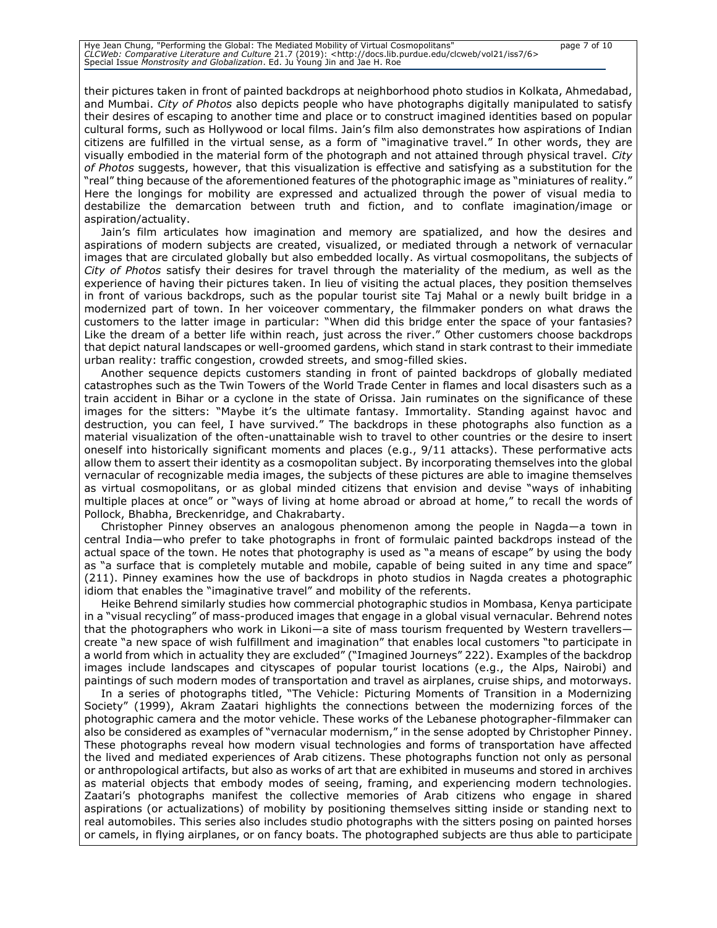their pictures taken in front of painted backdrops at neighborhood photo studios in Kolkata, Ahmedabad, and Mumbai. *City of Photos* also depicts people who have photographs digitally manipulated to satisfy their desires of escaping to another time and place or to construct imagined identities based on popular cultural forms, such as Hollywood or local films. Jain's film also demonstrates how aspirations of Indian citizens are fulfilled in the virtual sense, as a form of "imaginative travel." In other words, they are visually embodied in the material form of the photograph and not attained through physical travel. *City of Photos* suggests, however, that this visualization is effective and satisfying as a substitution for the "real" thing because of the aforementioned features of the photographic image as "miniatures of reality." Here the longings for mobility are expressed and actualized through the power of visual media to destabilize the demarcation between truth and fiction, and to conflate imagination/image or aspiration/actuality.

Jain's film articulates how imagination and memory are spatialized, and how the desires and aspirations of modern subjects are created, visualized, or mediated through a network of vernacular images that are circulated globally but also embedded locally. As virtual cosmopolitans, the subjects of *City of Photos* satisfy their desires for travel through the materiality of the medium, as well as the experience of having their pictures taken. In lieu of visiting the actual places, they position themselves in front of various backdrops, such as the popular tourist site Taj Mahal or a newly built bridge in a modernized part of town. In her voiceover commentary, the filmmaker ponders on what draws the customers to the latter image in particular: "When did this bridge enter the space of your fantasies? Like the dream of a better life within reach, just across the river." Other customers choose backdrops that depict natural landscapes or well-groomed gardens, which stand in stark contrast to their immediate urban reality: traffic congestion, crowded streets, and smog-filled skies.

Another sequence depicts customers standing in front of painted backdrops of globally mediated catastrophes such as the Twin Towers of the World Trade Center in flames and local disasters such as a train accident in Bihar or a cyclone in the state of Orissa. Jain ruminates on the significance of these images for the sitters: "Maybe it's the ultimate fantasy. Immortality. Standing against havoc and destruction, you can feel, I have survived." The backdrops in these photographs also function as a material visualization of the often-unattainable wish to travel to other countries or the desire to insert oneself into historically significant moments and places (e.g., 9/11 attacks). These performative acts allow them to assert their identity as a cosmopolitan subject. By incorporating themselves into the global vernacular of recognizable media images, the subjects of these pictures are able to imagine themselves as virtual cosmopolitans, or as global minded citizens that envision and devise "ways of inhabiting multiple places at once" or "ways of living at home abroad or abroad at home," to recall the words of Pollock, Bhabha, Breckenridge, and Chakrabarty.

Christopher Pinney observes an analogous phenomenon among the people in Nagda—a town in central India—who prefer to take photographs in front of formulaic painted backdrops instead of the actual space of the town. He notes that photography is used as "a means of escape" by using the body as "a surface that is completely mutable and mobile, capable of being suited in any time and space" (211). Pinney examines how the use of backdrops in photo studios in Nagda creates a photographic idiom that enables the "imaginative travel" and mobility of the referents.

Heike Behrend similarly studies how commercial photographic studios in Mombasa, Kenya participate in a "visual recycling" of mass-produced images that engage in a global visual vernacular. Behrend notes that the photographers who work in Likoni—a site of mass tourism frequented by Western travellers create "a new space of wish fulfillment and imagination" that enables local customers "to participate in a world from which in actuality they are excluded" ("Imagined Journeys" 222). Examples of the backdrop images include landscapes and cityscapes of popular tourist locations (e.g., the Alps, Nairobi) and paintings of such modern modes of transportation and travel as airplanes, cruise ships, and motorways.

In a series of photographs titled, "The Vehicle: Picturing Moments of Transition in a Modernizing Society" (1999), Akram Zaatari highlights the connections between the modernizing forces of the photographic camera and the motor vehicle. These works of the Lebanese photographer-filmmaker can also be considered as examples of "vernacular modernism," in the sense adopted by Christopher Pinney. These photographs reveal how modern visual technologies and forms of transportation have affected the lived and mediated experiences of Arab citizens. These photographs function not only as personal or anthropological artifacts, but also as works of art that are exhibited in museums and stored in archives as material objects that embody modes of seeing, framing, and experiencing modern technologies. Zaatari's photographs manifest the collective memories of Arab citizens who engage in shared aspirations (or actualizations) of mobility by positioning themselves sitting inside or standing next to real automobiles. This series also includes studio photographs with the sitters posing on painted horses or camels, in flying airplanes, or on fancy boats. The photographed subjects are thus able to participate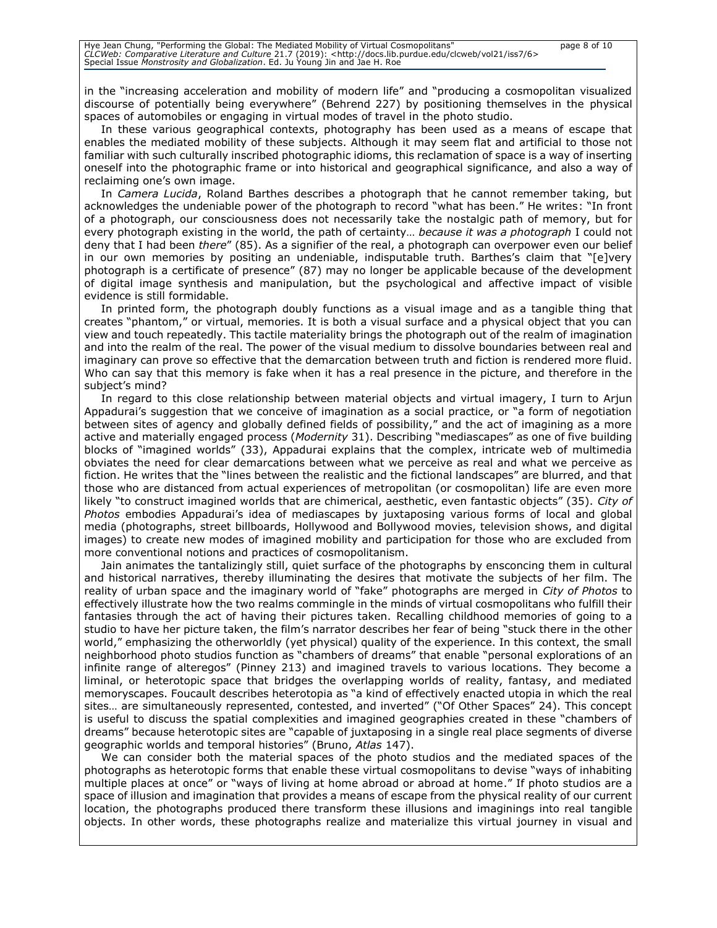in the "increasing acceleration and mobility of modern life" and "producing a cosmopolitan visualized discourse of potentially being everywhere" (Behrend 227) by positioning themselves in the physical spaces of automobiles or engaging in virtual modes of travel in the photo studio.

In these various geographical contexts, photography has been used as a means of escape that enables the mediated mobility of these subjects. Although it may seem flat and artificial to those not familiar with such culturally inscribed photographic idioms, this reclamation of space is a way of inserting oneself into the photographic frame or into historical and geographical significance, and also a way of reclaiming one's own image.

In *Camera Lucida*, Roland Barthes describes a photograph that he cannot remember taking, but acknowledges the undeniable power of the photograph to record "what has been." He writes: "In front of a photograph, our consciousness does not necessarily take the nostalgic path of memory, but for every photograph existing in the world, the path of certainty… *because it was a photograph* I could not deny that I had been *there*" (85). As a signifier of the real, a photograph can overpower even our belief in our own memories by positing an undeniable, indisputable truth. Barthes's claim that "[e]very photograph is a certificate of presence" (87) may no longer be applicable because of the development of digital image synthesis and manipulation, but the psychological and affective impact of visible evidence is still formidable.

In printed form, the photograph doubly functions as a visual image and as a tangible thing that creates "phantom," or virtual, memories. It is both a visual surface and a physical object that you can view and touch repeatedly. This tactile materiality brings the photograph out of the realm of imagination and into the realm of the real. The power of the visual medium to dissolve boundaries between real and imaginary can prove so effective that the demarcation between truth and fiction is rendered more fluid. Who can say that this memory is fake when it has a real presence in the picture, and therefore in the subject's mind?

In regard to this close relationship between material objects and virtual imagery, I turn to Arjun Appadurai's suggestion that we conceive of imagination as a social practice, or "a form of negotiation between sites of agency and globally defined fields of possibility," and the act of imagining as a more active and materially engaged process (*Modernity* 31). Describing "mediascapes" as one of five building blocks of "imagined worlds" (33), Appadurai explains that the complex, intricate web of multimedia obviates the need for clear demarcations between what we perceive as real and what we perceive as fiction. He writes that the "lines between the realistic and the fictional landscapes" are blurred, and that those who are distanced from actual experiences of metropolitan (or cosmopolitan) life are even more likely "to construct imagined worlds that are chimerical, aesthetic, even fantastic objects" (35). *City of Photos* embodies Appadurai's idea of mediascapes by juxtaposing various forms of local and global media (photographs, street billboards, Hollywood and Bollywood movies, television shows, and digital images) to create new modes of imagined mobility and participation for those who are excluded from more conventional notions and practices of cosmopolitanism.

Jain animates the tantalizingly still, quiet surface of the photographs by ensconcing them in cultural and historical narratives, thereby illuminating the desires that motivate the subjects of her film. The reality of urban space and the imaginary world of "fake" photographs are merged in *City of Photos* to effectively illustrate how the two realms commingle in the minds of virtual cosmopolitans who fulfill their fantasies through the act of having their pictures taken. Recalling childhood memories of going to a studio to have her picture taken, the film's narrator describes her fear of being "stuck there in the other world," emphasizing the otherworldly (yet physical) quality of the experience. In this context, the small neighborhood photo studios function as "chambers of dreams" that enable "personal explorations of an infinite range of alteregos" (Pinney 213) and imagined travels to various locations. They become a liminal, or heterotopic space that bridges the overlapping worlds of reality, fantasy, and mediated memoryscapes. Foucault describes heterotopia as "a kind of effectively enacted utopia in which the real sites… are simultaneously represented, contested, and inverted" ("Of Other Spaces" 24). This concept is useful to discuss the spatial complexities and imagined geographies created in these "chambers of dreams" because heterotopic sites are "capable of juxtaposing in a single real place segments of diverse geographic worlds and temporal histories" (Bruno, *Atlas* 147).

We can consider both the material spaces of the photo studios and the mediated spaces of the photographs as heterotopic forms that enable these virtual cosmopolitans to devise "ways of inhabiting multiple places at once" or "ways of living at home abroad or abroad at home." If photo studios are a space of illusion and imagination that provides a means of escape from the physical reality of our current location, the photographs produced there transform these illusions and imaginings into real tangible objects. In other words, these photographs realize and materialize this virtual journey in visual and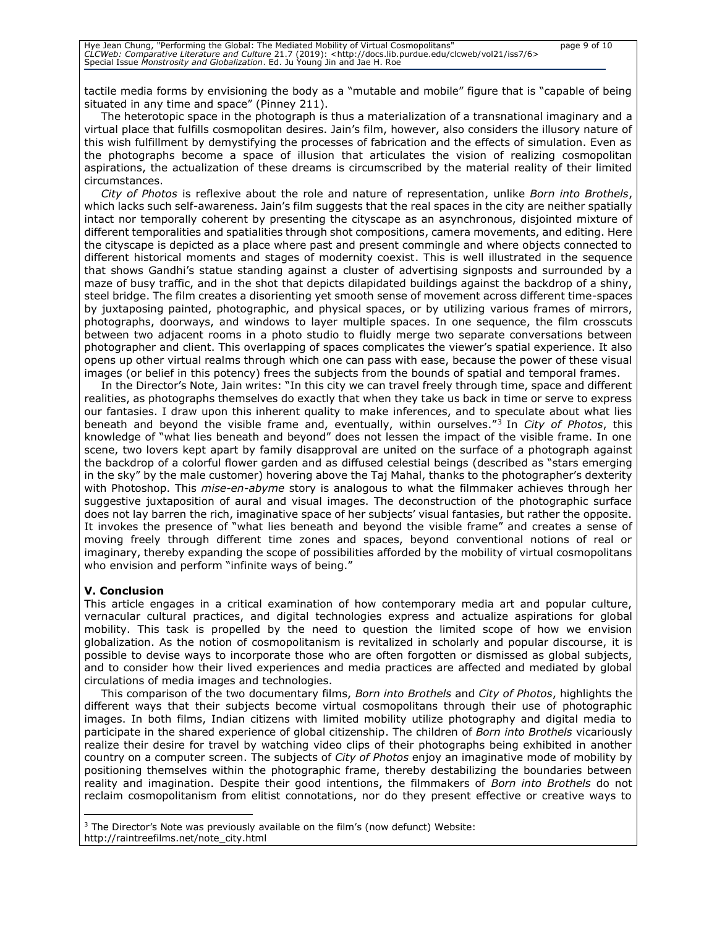tactile media forms by envisioning the body as a "mutable and mobile" figure that is "capable of being situated in any time and space" (Pinney 211).

The heterotopic space in the photograph is thus a materialization of a transnational imaginary and a virtual place that fulfills cosmopolitan desires. Jain's film, however, also considers the illusory nature of this wish fulfillment by demystifying the processes of fabrication and the effects of simulation. Even as the photographs become a space of illusion that articulates the vision of realizing cosmopolitan aspirations, the actualization of these dreams is circumscribed by the material reality of their limited circumstances.

*City of Photos* is reflexive about the role and nature of representation, unlike *Born into Brothels*, which lacks such self-awareness. Jain's film suggests that the real spaces in the city are neither spatially intact nor temporally coherent by presenting the cityscape as an asynchronous, disjointed mixture of different temporalities and spatialities through shot compositions, camera movements, and editing. Here the cityscape is depicted as a place where past and present commingle and where objects connected to different historical moments and stages of modernity coexist. This is well illustrated in the sequence that shows Gandhi's statue standing against a cluster of advertising signposts and surrounded by a maze of busy traffic, and in the shot that depicts dilapidated buildings against the backdrop of a shiny, steel bridge. The film creates a disorienting yet smooth sense of movement across different time-spaces by juxtaposing painted, photographic, and physical spaces, or by utilizing various frames of mirrors, photographs, doorways, and windows to layer multiple spaces. In one sequence, the film crosscuts between two adjacent rooms in a photo studio to fluidly merge two separate conversations between photographer and client. This overlapping of spaces complicates the viewer's spatial experience. It also opens up other virtual realms through which one can pass with ease, because the power of these visual images (or belief in this potency) frees the subjects from the bounds of spatial and temporal frames.

In the Director's Note, Jain writes: "In this city we can travel freely through time, space and different realities, as photographs themselves do exactly that when they take us back in time or serve to express our fantasies. I draw upon this inherent quality to make inferences, and to speculate about what lies beneath and beyond the visible frame and, eventually, within ourselves." 3 In *City of Photos*, this knowledge of "what lies beneath and beyond" does not lessen the impact of the visible frame. In one scene, two lovers kept apart by family disapproval are united on the surface of a photograph against the backdrop of a colorful flower garden and as diffused celestial beings (described as "stars emerging in the sky" by the male customer) hovering above the Taj Mahal, thanks to the photographer's dexterity with Photoshop. This *mise-en-abyme* story is analogous to what the filmmaker achieves through her suggestive juxtaposition of aural and visual images. The deconstruction of the photographic surface does not lay barren the rich, imaginative space of her subjects' visual fantasies, but rather the opposite. It invokes the presence of "what lies beneath and beyond the visible frame" and creates a sense of moving freely through different time zones and spaces, beyond conventional notions of real or imaginary, thereby expanding the scope of possibilities afforded by the mobility of virtual cosmopolitans who envision and perform "infinite ways of being."

## **V. Conclusion**

This article engages in a critical examination of how contemporary media art and popular culture, vernacular cultural practices, and digital technologies express and actualize aspirations for global mobility. This task is propelled by the need to question the limited scope of how we envision globalization. As the notion of cosmopolitanism is revitalized in scholarly and popular discourse, it is possible to devise ways to incorporate those who are often forgotten or dismissed as global subjects, and to consider how their lived experiences and media practices are affected and mediated by global circulations of media images and technologies.

This comparison of the two documentary films, *Born into Brothels* and *City of Photos*, highlights the different ways that their subjects become virtual cosmopolitans through their use of photographic images. In both films, Indian citizens with limited mobility utilize photography and digital media to participate in the shared experience of global citizenship. The children of *Born into Brothels* vicariously realize their desire for travel by watching video clips of their photographs being exhibited in another country on a computer screen. The subjects of *City of Photos* enjoy an imaginative mode of mobility by positioning themselves within the photographic frame, thereby destabilizing the boundaries between reality and imagination. Despite their good intentions, the filmmakers of *Born into Brothels* do not reclaim cosmopolitanism from elitist connotations, nor do they present effective or creative ways to

<sup>&</sup>lt;sup>3</sup> The Director's Note was previously available on the film's (now defunct) Website: http://raintreefilms.net/note\_city.html